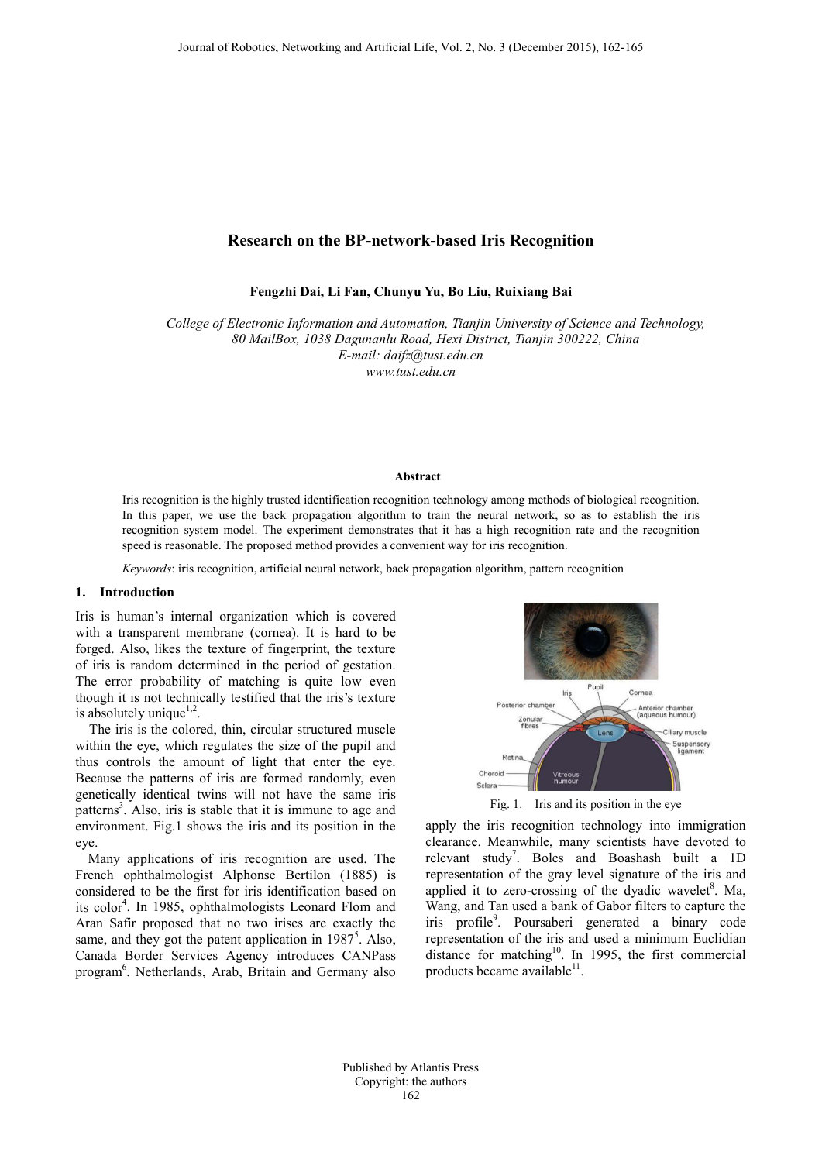# **Research on the BP-network-based Iris Recognition**

**Fengzhi Dai, Li Fan, Chunyu Yu, Bo Liu, Ruixiang Bai**

*College of Electronic Information and Automation, Tianjin University of Science and Technology, 80 MailBox, 1038 Dagunanlu Road, Hexi District, Tianjin 300222, China E-mail: daifz@tust.edu.cn www.tust.edu.cn*

#### **Abstract**

Iris recognition is the highly trusted identification recognition technology among methods of biological recognition. In this paper, we use the back propagation algorithm to train the neural network, so as to establish the iris recognition system model. The experiment demonstrates that it has a high recognition rate and the recognition speed is reasonable. The proposed method provides a convenient way for iris recognition.

*Keywords*: iris recognition, artificial neural network, back propagation algorithm, pattern recognition

## **1. Introduction**

Iris is human's internal organization which is covered with a transparent membrane (cornea). It is hard to be forged. Also, likes the texture of fingerprint, the texture of iris is random determined in the period of gestation. The error probability of matching is quite low even though it is not technically testified that the iris's texture is absolutely unique<sup> $1,2$ </sup>.

The iris is the colored, thin, circular structured muscle within the eye, which regulates the size of the pupil and thus controls the amount of light that enter the eye. Because the patterns of iris are formed randomly, even genetically identical twins will not have the same iris patterns<sup>3</sup>. Also, iris is stable that it is immune to age and environment. Fig.1 shows the iris and its position in the eye.

Many applications of iris recognition are used. The French ophthalmologist Alphonse Bertilon (1885) is considered to be the first for iris identification based on its color<sup>4</sup>. In 1985, ophthalmologists Leonard Flom and Aran Safir proposed that no two irises are exactly the same, and they got the patent application in 1987<sup>5</sup>. Also, Canada Border Services Agency introduces CANPass program<sup>6</sup>. Netherlands, Arab, Britain and Germany also



Fig. 1. Iris and its position in the eye

apply the iris recognition technology into immigration clearance. Meanwhile, many scientists have devoted to relevant study<sup>7</sup>. Boles and Boashash built a  $1D$ representation of the gray level signature of the iris and applied it to zero-crossing of the dyadic wavelet<sup>8</sup>. Ma, Wang, and Tan used a bank of Gabor filters to capture the iris profile<sup>9</sup>. Poursaberi generated a binary code representation of the iris and used a minimum Euclidian distance for matching<sup>10</sup>. In 1995, the first commercial products became available<sup>11</sup>.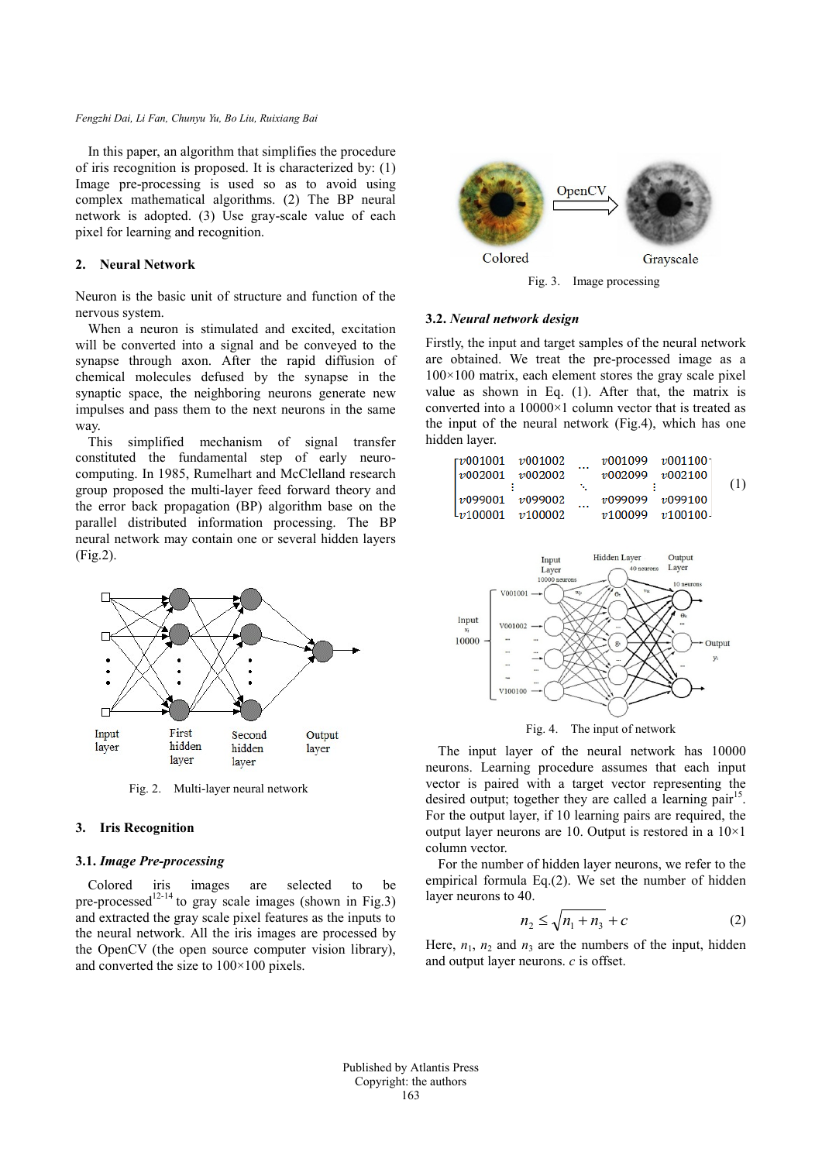#### *Fengzhi Dai, Li Fan, Chunyu Yu, Bo Liu, Ruixiang Bai*

In this paper, an algorithm that simplifies the procedure of iris recognition is proposed. It is characterized by: (1) Image pre-processing is used so as to avoid using complex mathematical algorithms. (2) The BP neural network is adopted. (3) Use gray-scale value of each pixel for learning and recognition.

# **2. Neural Network**

Neuron is the basic unit of structure and function of the nervous system.

When a neuron is stimulated and excited, excitation will be converted into a signal and be conveyed to the synapse through axon. After the rapid diffusion of chemical molecules defused by the synapse in the synaptic space, the neighboring neurons generate new impulses and pass them to the next neurons in the same way.

This simplified mechanism of signal transfer constituted the fundamental step of early neurocomputing. In 1985, Rumelhart and McClelland research group proposed the multi-layer feed forward theory and the error back propagation (BP) algorithm base on the parallel distributed information processing. The BP neural network may contain one or several hidden layers (Fig.2).



Fig. 2. Multi-layer neural network

## **3. Iris Recognition**

## **3.1.** *Image Pre-processing*

Colored iris images are selected to be pre-processed<sup>12-14</sup> to gray scale images (shown in Fig.3) and extracted the gray scale pixel features as the inputs to the neural network. All the iris images are processed by the OpenCV (the open source computer vision library), and converted the size to 100×100 pixels.



Fig. 3. Image processing

#### **3.2.** *Neural network design*

Firstly, the input and target samples of the neural network are obtained. We treat the pre-processed image as a  $100\times100$  matrix, each element stores the gray scale pixel value as shown in Eq. (1). After that, the matrix is converted into a  $10000\times1$  column vector that is treated as the input of the neural network (Fig.4), which has one hidden layer.





The input layer of the neural network has 10000 neurons. Learning procedure assumes that each input vector is paired with a target vector representing the desired output; together they are called a learning pair<sup>15</sup>. For the output layer, if 10 learning pairs are required, the output layer neurons are 10. Output is restored in a 10×1 column vector.

For the number of hidden layer neurons, we refer to the empirical formula Eq.(2). We set the number of hidden layer neurons to 40.

$$
n_2 \le \sqrt{n_1 + n_3} + c \tag{2}
$$

Here,  $n_1$ ,  $n_2$  and  $n_3$  are the numbers of the input, hidden and output layer neurons. *c* is offset.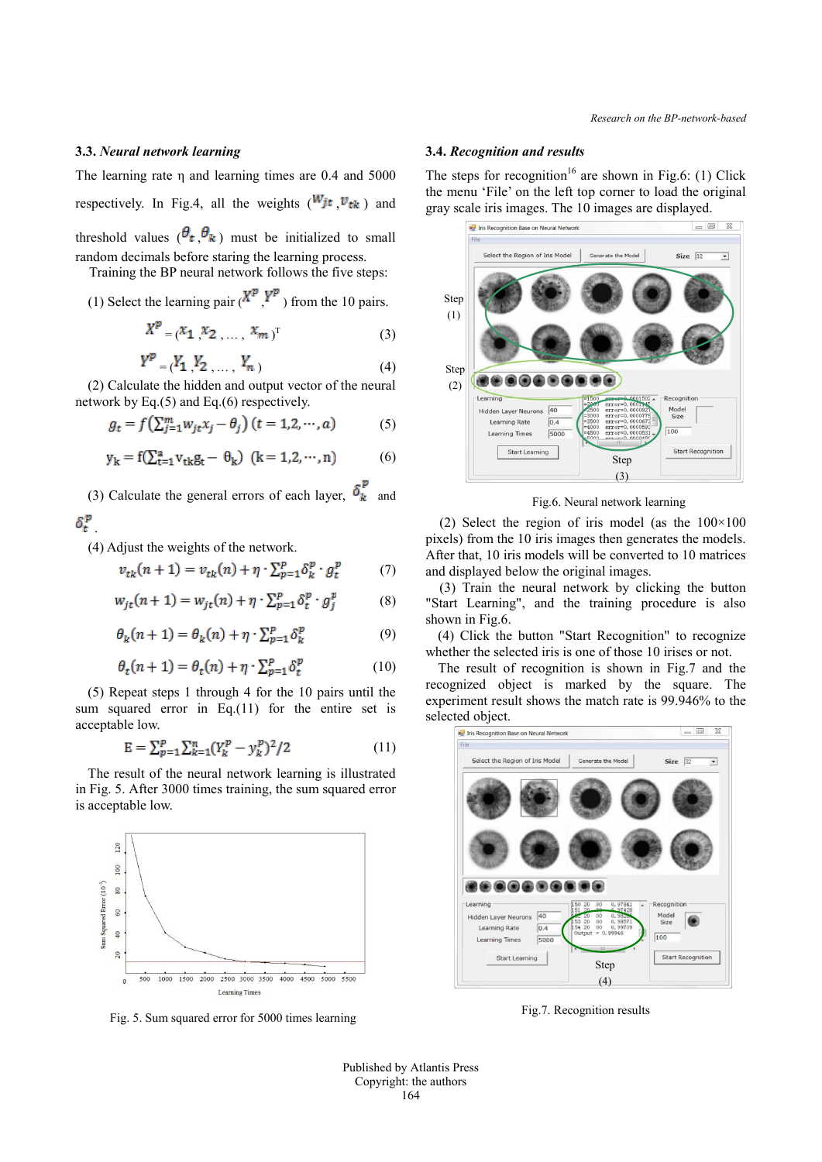# **3.3.** *Neural network learning*

The learning rate η and learning times are 0.4 and 5000 respectively. In Fig.4, all the weights ( $W_{j,t}$ ,  $V_{tk}$ ) and threshold values  $({\theta_t}, {\theta_k})$  must be initialized to small random decimals before staring the learning process.

Training the BP neural network follows the five steps:

(1) Select the learning pair  $(X^p, Y^p)$  from the 10 pairs.

$$
X^{p} = (x_{1}, x_{2}, \dots, x_{m})^{\mathrm{T}}
$$
 (3)

$$
Y^{P} = (Y_1, Y_2, \dots, Y_n)
$$
 (4)

(2) Calculate the hidden and output vector of the neural network by Eq.(5) and Eq.(6) respectively.

$$
g_t = f\left(\sum_{j=1}^m w_{jt} x_j - \theta_j\right) (t = 1, 2, \cdots, a)
$$
 (5)

$$
y_k = f(\sum_{t=1}^{a} v_{tk}g_t - \theta_k) \ (k = 1, 2, \cdots, n)
$$
 (6)

(3) Calculate the general errors of each layer,  $\delta_{\mathbf{k}}^{\mathbf{p}}$  and

# $\delta_{\rm r}^{\rm p}$

(4) Adjust the weights of the network.

$$
v_{tk}(n+1) = v_{tk}(n) + \eta \cdot \sum_{p=1}^{p} \delta_k^p \cdot g_t^p \tag{7}
$$

$$
w_{jt}(n+1) = w_{jt}(n) + \eta \cdot \sum_{p=1}^{p} \delta_t^p \cdot g_j^p \tag{8}
$$

$$
\theta_k(n+1) = \theta_k(n) + \eta \cdot \sum_{p=1}^p \delta_k^p \tag{9}
$$

$$
\theta_t(n+1) = \theta_t(n) + \eta \cdot \sum_{p=1}^p \delta_t^p \tag{10}
$$

(5) Repeat steps 1 through 4 for the 10 pairs until the sum squared error in Eq.(11) for the entire set is acceptable low.

$$
E = \sum_{p=1}^{p} \sum_{k=1}^{n} (Y_k^p - y_k^p)^2 / 2
$$
 (11)

The result of the neural network learning is illustrated in Fig. 5. After 3000 times training, the sum squared error is acceptable low.



Fig. 5. Sum squared error for 5000 times learning

## **3.4.** *Recognition and results*

The steps for recognition<sup>16</sup> are shown in Fig.6: (1) Click the menu 'File' on the left top corner to load the original gray scale iris images. The 10 images are displayed.



Fig.6. Neural network learning

(2) Select the region of iris model (as the  $100\times100$ pixels) from the 10 iris images then generates the models. After that, 10 iris models will be converted to 10 matrices and displayed below the original images.

 (3) Train the neural network by clicking the button "Start Learning", and the training procedure is also shown in Fig.6.

(4) Click the button "Start Recognition" to recognize whether the selected iris is one of those 10 irises or not.

The result of recognition is shown in Fig.7 and the recognized object is marked by the square. The experiment result shows the match rate is 99.946% to the selected object.



Fig.7. Recognition results